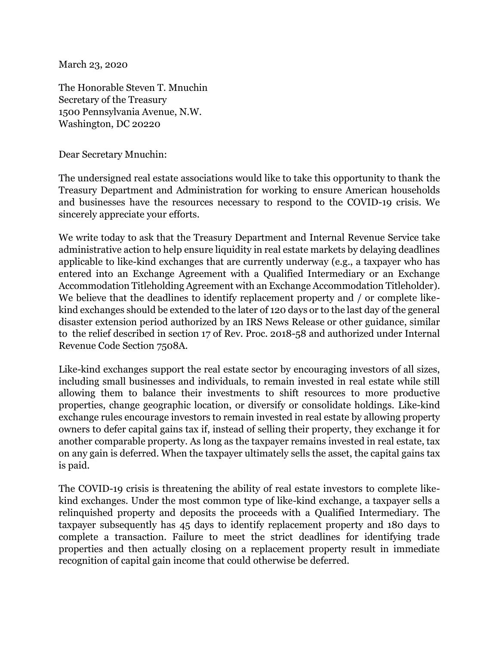March 23, 2020

The Honorable Steven T. Mnuchin Secretary of the Treasury 1500 Pennsylvania Avenue, N.W. Washington, DC 20220

Dear Secretary Mnuchin:

The undersigned real estate associations would like to take this opportunity to thank the Treasury Department and Administration for working to ensure American households and businesses have the resources necessary to respond to the COVID-19 crisis. We sincerely appreciate your efforts.

We write today to ask that the Treasury Department and Internal Revenue Service take administrative action to help ensure liquidity in real estate markets by delaying deadlines applicable to like-kind exchanges that are currently underway (e.g., a taxpayer who has entered into an Exchange Agreement with a Qualified Intermediary or an Exchange Accommodation Titleholding Agreement with an Exchange Accommodation Titleholder). We believe that the deadlines to identify replacement property and / or complete likekind exchanges should be extended to the later of 120 days or to the last day of the general disaster extension period authorized by an IRS News Release or other guidance, similar to the relief described in section 17 of Rev. Proc. 2018-58 and authorized under Internal Revenue Code Section 7508A.

Like-kind exchanges support the real estate sector by encouraging investors of all sizes, including small businesses and individuals, to remain invested in real estate while still allowing them to balance their investments to shift resources to more productive properties, change geographic location, or diversify or consolidate holdings. Like-kind exchange rules encourage investors to remain invested in real estate by allowing property owners to defer capital gains tax if, instead of selling their property, they exchange it for another comparable property. As long as the taxpayer remains invested in real estate, tax on any gain is deferred. When the taxpayer ultimately sells the asset, the capital gains tax is paid.

The COVID-19 crisis is threatening the ability of real estate investors to complete likekind exchanges. Under the most common type of like-kind exchange, a taxpayer sells a relinquished property and deposits the proceeds with a Qualified Intermediary. The taxpayer subsequently has 45 days to identify replacement property and 180 days to complete a transaction. Failure to meet the strict deadlines for identifying trade properties and then actually closing on a replacement property result in immediate recognition of capital gain income that could otherwise be deferred.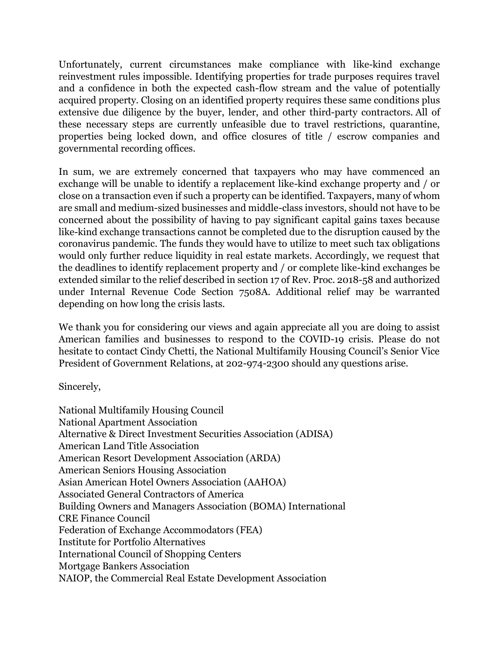Unfortunately, current circumstances make compliance with like-kind exchange reinvestment rules impossible. Identifying properties for trade purposes requires travel and a confidence in both the expected cash-flow stream and the value of potentially acquired property. Closing on an identified property requires these same conditions plus extensive due diligence by the buyer, lender, and other third-party contractors. All of these necessary steps are currently unfeasible due to travel restrictions, quarantine, properties being locked down, and office closures of title / escrow companies and governmental recording offices.

In sum, we are extremely concerned that taxpayers who may have commenced an exchange will be unable to identify a replacement like-kind exchange property and / or close on a transaction even if such a property can be identified. Taxpayers, many of whom are small and medium-sized businesses and middle-class investors, should not have to be concerned about the possibility of having to pay significant capital gains taxes because like-kind exchange transactions cannot be completed due to the disruption caused by the coronavirus pandemic. The funds they would have to utilize to meet such tax obligations would only further reduce liquidity in real estate markets. Accordingly, we request that the deadlines to identify replacement property and / or complete like-kind exchanges be extended similar to the relief described in section 17 of Rev. Proc. 2018-58 and authorized under Internal Revenue Code Section 7508A. Additional relief may be warranted depending on how long the crisis lasts.

We thank you for considering our views and again appreciate all you are doing to assist American families and businesses to respond to the COVID-19 crisis. Please do not hesitate to contact Cindy Chetti, the National Multifamily Housing Council's Senior Vice President of Government Relations, at 202-974-2300 should any questions arise.

Sincerely,

National Multifamily Housing Council National Apartment Association Alternative & Direct Investment Securities Association (ADISA) American Land Title Association American Resort Development Association (ARDA) American Seniors Housing Association Asian American Hotel Owners Association (AAHOA) Associated General Contractors of America Building Owners and Managers Association (BOMA) International CRE Finance Council Federation of Exchange Accommodators (FEA) Institute for Portfolio Alternatives International Council of Shopping Centers Mortgage Bankers Association NAIOP, the Commercial Real Estate Development Association